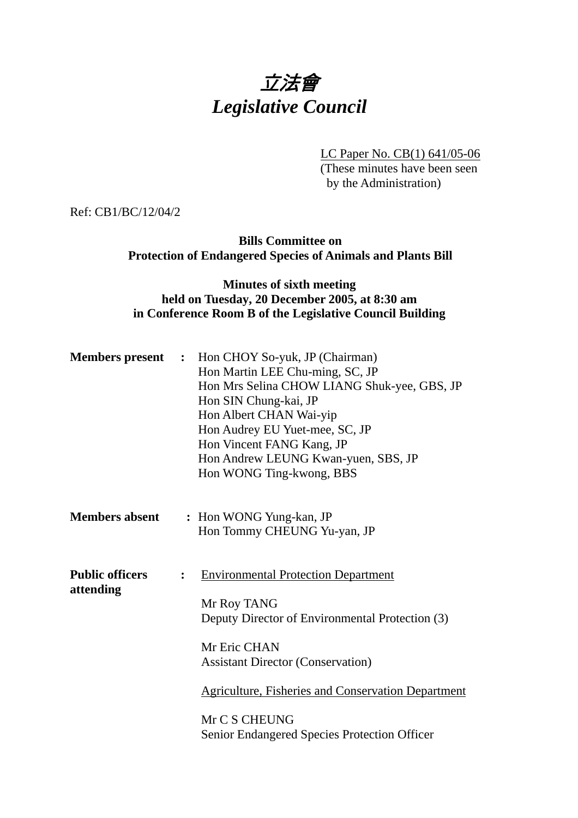# 立法會 *Legislative Council*

LC Paper No. CB(1) 641/05-06

(These minutes have been seen by the Administration)

Ref: CB1/BC/12/04/2

**Bills Committee on Protection of Endangered Species of Animals and Plants Bill** 

### **Minutes of sixth meeting held on Tuesday, 20 December 2005, at 8:30 am in Conference Room B of the Legislative Council Building**

| <b>Members present :</b>            |                | Hon CHOY So-yuk, JP (Chairman)<br>Hon Martin LEE Chu-ming, SC, JP<br>Hon Mrs Selina CHOW LIANG Shuk-yee, GBS, JP<br>Hon SIN Chung-kai, JP<br>Hon Albert CHAN Wai-yip<br>Hon Audrey EU Yuet-mee, SC, JP<br>Hon Vincent FANG Kang, JP<br>Hon Andrew LEUNG Kwan-yuen, SBS, JP<br>Hon WONG Ting-kwong, BBS        |
|-------------------------------------|----------------|---------------------------------------------------------------------------------------------------------------------------------------------------------------------------------------------------------------------------------------------------------------------------------------------------------------|
| <b>Members absent</b>               |                | : Hon WONG Yung-kan, JP<br>Hon Tommy CHEUNG Yu-yan, JP                                                                                                                                                                                                                                                        |
| <b>Public officers</b><br>attending | $\ddot{\cdot}$ | <b>Environmental Protection Department</b><br>Mr Roy TANG<br>Deputy Director of Environmental Protection (3)<br>Mr Eric CHAN<br><b>Assistant Director (Conservation)</b><br><b>Agriculture, Fisheries and Conservation Department</b><br>Mr C S CHEUNG<br><b>Senior Endangered Species Protection Officer</b> |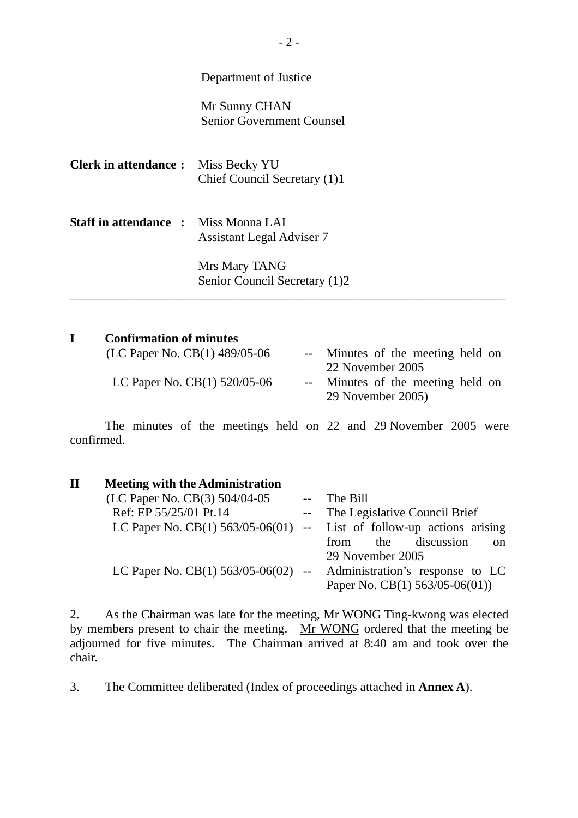#### Department of Justice

Mr Sunny CHAN Senior Government Counsel

| <b>Clerk in attendance:</b> Miss Becky YU |                              |  |
|-------------------------------------------|------------------------------|--|
|                                           | Chief Council Secretary (1)1 |  |

**Staff in attendance :** Miss Monna LAI Assistant Legal Adviser 7

> Mrs Mary TANG Senior Council Secretary (1)2

| <b>Confirmation of minutes</b> |                                   |
|--------------------------------|-----------------------------------|
| (LC Paper No. CB(1) 489/05-06  | -- Minutes of the meeting held on |
|                                | 22 November 2005                  |
| LC Paper No. $CB(1)$ 520/05-06 | -- Minutes of the meeting held on |
|                                | 29 November 2005)                 |

\_\_\_\_\_\_\_\_\_\_\_\_\_\_\_\_\_\_\_\_\_\_\_\_\_\_\_\_\_\_\_\_\_\_\_\_\_\_\_\_\_\_\_\_\_\_\_\_\_\_\_\_\_\_\_\_\_\_\_\_\_\_\_\_\_\_\_\_\_

The minutes of the meetings held on 22 and 29 November 2005 were confirmed.

| $\mathbf{I}\mathbf{I}$ | <b>Meeting with the Administration</b> |                                                                         |
|------------------------|----------------------------------------|-------------------------------------------------------------------------|
|                        | (LC Paper No. CB(3) 504/04-05          | -- The Bill                                                             |
|                        | Ref: EP 55/25/01 Pt.14                 | -- The Legislative Council Brief                                        |
|                        |                                        | LC Paper No. CB(1) $563/05-06(01)$ -- List of follow-up actions arising |
|                        |                                        | the discussion<br>from<br>on                                            |
|                        |                                        | 29 November 2005                                                        |
|                        | LC Paper No. CB(1) $563/05-06(02)$ --  | Administration's response to LC                                         |
|                        |                                        | Paper No. CB(1) $563/05-06(01)$ )                                       |

2. As the Chairman was late for the meeting, Mr WONG Ting-kwong was elected by members present to chair the meeting. Mr WONG ordered that the meeting be adjourned for five minutes. The Chairman arrived at 8:40 am and took over the chair.

3. The Committee deliberated (Index of proceedings attached in **Annex A**).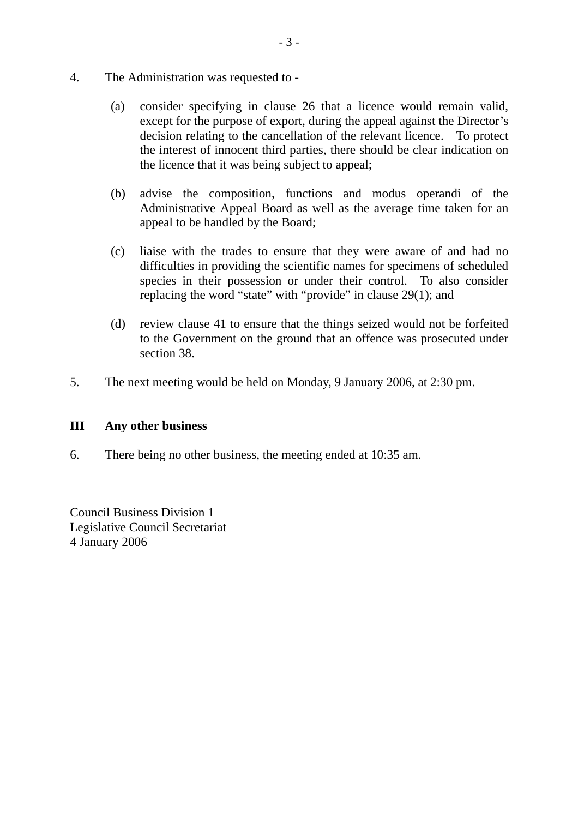- 4. The Administration was requested to
	- (a) consider specifying in clause 26 that a licence would remain valid, except for the purpose of export, during the appeal against the Director's decision relating to the cancellation of the relevant licence. To protect the interest of innocent third parties, there should be clear indication on the licence that it was being subject to appeal;
	- (b) advise the composition, functions and modus operandi of the Administrative Appeal Board as well as the average time taken for an appeal to be handled by the Board;
	- (c) liaise with the trades to ensure that they were aware of and had no difficulties in providing the scientific names for specimens of scheduled species in their possession or under their control. To also consider replacing the word "state" with "provide" in clause 29(1); and
	- (d) review clause 41 to ensure that the things seized would not be forfeited to the Government on the ground that an offence was prosecuted under section 38.
- 5. The next meeting would be held on Monday, 9 January 2006, at 2:30 pm.

#### **III Any other business**

6. There being no other business, the meeting ended at 10:35 am.

Council Business Division 1 Legislative Council Secretariat 4 January 2006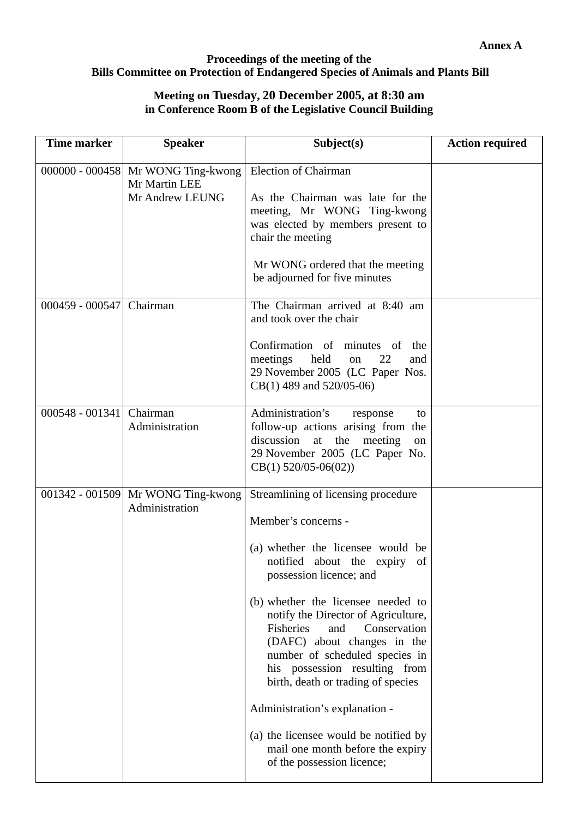#### **Proceedings of the meeting of the Bills Committee on Protection of Endangered Species of Animals and Plants Bill**

## **Meeting on Tuesday, 20 December 2005, at 8:30 am in Conference Room B of the Legislative Council Building**

| <b>Time marker</b> | <b>Speaker</b>                                                                                | Subject(s)                                                                                                                                                                                                                                                                                                                                                                                                                                                                                                                                                              | <b>Action required</b> |
|--------------------|-----------------------------------------------------------------------------------------------|-------------------------------------------------------------------------------------------------------------------------------------------------------------------------------------------------------------------------------------------------------------------------------------------------------------------------------------------------------------------------------------------------------------------------------------------------------------------------------------------------------------------------------------------------------------------------|------------------------|
|                    | 000000 - 000458 Mr WONG Ting-kwong   Election of Chairman<br>Mr Martin LEE<br>Mr Andrew LEUNG | As the Chairman was late for the<br>meeting, Mr WONG Ting-kwong<br>was elected by members present to<br>chair the meeting<br>Mr WONG ordered that the meeting<br>be adjourned for five minutes                                                                                                                                                                                                                                                                                                                                                                          |                        |
| $000459 - 000547$  | Chairman                                                                                      | The Chairman arrived at 8:40 am<br>and took over the chair<br>Confirmation of minutes of the<br>meetings<br>held<br>22<br>and<br>on<br>29 November 2005 (LC Paper Nos.<br>$CB(1)$ 489 and 520/05-06)                                                                                                                                                                                                                                                                                                                                                                    |                        |
| $000548 - 001341$  | Chairman<br>Administration                                                                    | Administration's<br>response<br>to<br>follow-up actions arising from the<br>discussion at the meeting<br>on<br>29 November 2005 (LC Paper No.<br>$CB(1)$ 520/05-06(02))                                                                                                                                                                                                                                                                                                                                                                                                 |                        |
|                    | 001342 - 001509 Mr WONG Ting-kwong<br>Administration                                          | Streamlining of licensing procedure<br>Member's concerns -<br>(a) whether the licensee would be<br>notified about the expiry of<br>possession licence; and<br>(b) whether the licensee needed to<br>notify the Director of Agriculture,<br><b>Fisheries</b><br>and<br>Conservation<br>(DAFC) about changes in the<br>number of scheduled species in<br>his possession resulting from<br>birth, death or trading of species<br>Administration's explanation -<br>(a) the licensee would be notified by<br>mail one month before the expiry<br>of the possession licence; |                        |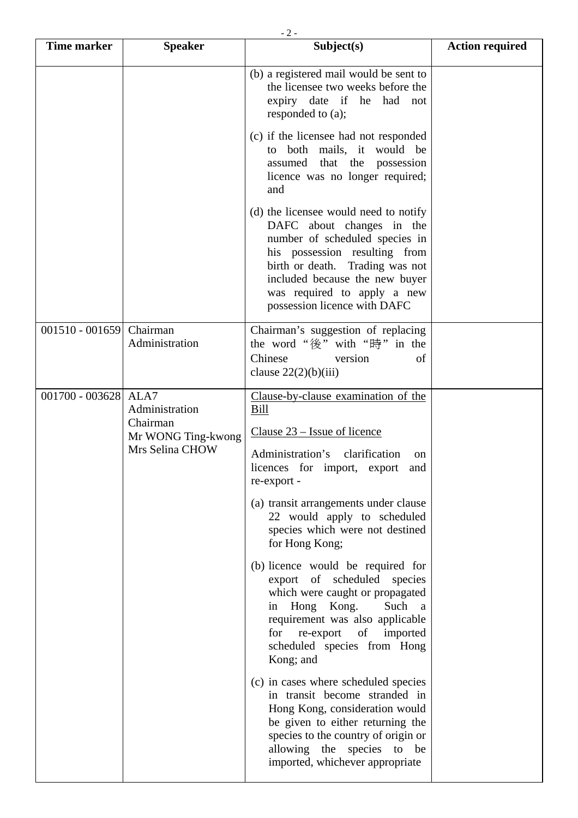| $-2-$              |                                                   |                                                                                                                                                                                                                                                                           |                        |  |  |
|--------------------|---------------------------------------------------|---------------------------------------------------------------------------------------------------------------------------------------------------------------------------------------------------------------------------------------------------------------------------|------------------------|--|--|
| <b>Time marker</b> | <b>Speaker</b>                                    | Subject(s)                                                                                                                                                                                                                                                                | <b>Action required</b> |  |  |
|                    |                                                   | (b) a registered mail would be sent to<br>the licensee two weeks before the<br>expiry date if he had not<br>responded to (a);                                                                                                                                             |                        |  |  |
|                    |                                                   | (c) if the licensee had not responded<br>to both mails, it would be<br>assumed that the possession<br>licence was no longer required;<br>and                                                                                                                              |                        |  |  |
|                    |                                                   | (d) the licensee would need to notify<br>DAFC about changes in the<br>number of scheduled species in<br>his possession resulting from<br>birth or death. Trading was not<br>included because the new buyer<br>was required to apply a new<br>possession licence with DAFC |                        |  |  |
| $001510 - 001659$  | Chairman<br>Administration                        | Chairman's suggestion of replacing<br>the word "後" with "時" in the<br>Chinese<br>version<br>of<br>clause $22(2)(b)(iii)$                                                                                                                                                  |                        |  |  |
| $001700 - 003628$  | ALA7<br>Administration                            | Clause-by-clause examination of the<br><b>Bill</b>                                                                                                                                                                                                                        |                        |  |  |
|                    | Chairman<br>Mr WONG Ting-kwong<br>Mrs Selina CHOW | Clause $23$ – Issue of licence                                                                                                                                                                                                                                            |                        |  |  |
|                    |                                                   | clarification<br>Administration's<br><sub>on</sub><br>licences for import, export and<br>re-export -                                                                                                                                                                      |                        |  |  |
|                    |                                                   | (a) transit arrangements under clause<br>22 would apply to scheduled<br>species which were not destined<br>for Hong Kong;                                                                                                                                                 |                        |  |  |
|                    |                                                   | (b) licence would be required for<br>export of scheduled species<br>which were caught or propagated<br>in Hong Kong.<br>Such a<br>requirement was also applicable<br>re-export of imported<br>for<br>scheduled species from Hong<br>Kong; and                             |                        |  |  |
|                    |                                                   | (c) in cases where scheduled species<br>in transit become stranded in<br>Hong Kong, consideration would<br>be given to either returning the<br>species to the country of origin or<br>allowing the species to be<br>imported, whichever appropriate                       |                        |  |  |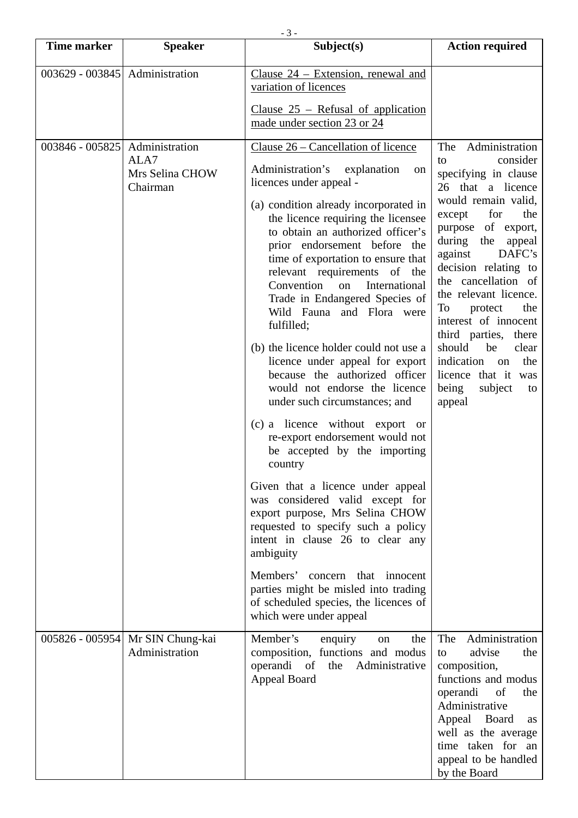| $-3-$                          |                                                    |                                                                                                                                                                                                                                                                                                                                                                                                                                                                                                                                                                                                                                                                                                                                                                                                                                                                                                                                                                                                                                                                                                       |                                                                                                                                                                                                                                                                                                                                                                                                                                                                          |  |
|--------------------------------|----------------------------------------------------|-------------------------------------------------------------------------------------------------------------------------------------------------------------------------------------------------------------------------------------------------------------------------------------------------------------------------------------------------------------------------------------------------------------------------------------------------------------------------------------------------------------------------------------------------------------------------------------------------------------------------------------------------------------------------------------------------------------------------------------------------------------------------------------------------------------------------------------------------------------------------------------------------------------------------------------------------------------------------------------------------------------------------------------------------------------------------------------------------------|--------------------------------------------------------------------------------------------------------------------------------------------------------------------------------------------------------------------------------------------------------------------------------------------------------------------------------------------------------------------------------------------------------------------------------------------------------------------------|--|
| <b>Time marker</b>             | <b>Speaker</b>                                     | Subject(s)                                                                                                                                                                                                                                                                                                                                                                                                                                                                                                                                                                                                                                                                                                                                                                                                                                                                                                                                                                                                                                                                                            | <b>Action required</b>                                                                                                                                                                                                                                                                                                                                                                                                                                                   |  |
| 003629 - 003845 Administration |                                                    | Clause $24$ – Extension, renewal and<br>variation of licences                                                                                                                                                                                                                                                                                                                                                                                                                                                                                                                                                                                                                                                                                                                                                                                                                                                                                                                                                                                                                                         |                                                                                                                                                                                                                                                                                                                                                                                                                                                                          |  |
|                                |                                                    | Clause $25$ – Refusal of application<br>made under section 23 or 24                                                                                                                                                                                                                                                                                                                                                                                                                                                                                                                                                                                                                                                                                                                                                                                                                                                                                                                                                                                                                                   |                                                                                                                                                                                                                                                                                                                                                                                                                                                                          |  |
| 003846 - 005825 Administration | ALA7<br>Mrs Selina CHOW<br>Chairman                | Clause 26 – Cancellation of licence<br>Administration's explanation<br>on<br>licences under appeal -<br>(a) condition already incorporated in<br>the licence requiring the licensee<br>to obtain an authorized officer's<br>prior endorsement before the<br>time of exportation to ensure that<br>relevant requirements<br>of the<br>Convention<br>International<br>on<br>Trade in Endangered Species of<br>Wild Fauna and Flora were<br>fulfilled;<br>(b) the licence holder could not use a<br>licence under appeal for export<br>because the authorized officer<br>would not endorse the licence<br>under such circumstances; and<br>(c) a licence without export or<br>re-export endorsement would not<br>be accepted by the importing<br>country<br>Given that a licence under appeal<br>was considered valid except for<br>export purpose, Mrs Selina CHOW<br>requested to specify such a policy<br>intent in clause 26 to clear any<br>ambiguity<br>Members' concern that innocent<br>parties might be misled into trading<br>of scheduled species, the licences of<br>which were under appeal | Administration<br>The<br>consider<br>to<br>specifying in clause<br>26 that a licence<br>would remain valid,<br>for<br>the<br>except<br>purpose of export,<br>during<br>the<br>appeal<br>DAFC's<br>against<br>decision relating to<br>the cancellation of<br>the relevant licence.<br>To<br>protect<br>the<br>interest of innocent<br>third parties, there<br>should<br>be<br>clear<br>indication<br>the<br>on<br>licence that it was<br>being<br>subject<br>to<br>appeal |  |
|                                | 005826 - 005954 Mr SIN Chung-kai<br>Administration | Member's<br>enquiry<br>the<br>on<br>composition, functions and modus<br>operandi of<br>Administrative<br>the<br><b>Appeal Board</b>                                                                                                                                                                                                                                                                                                                                                                                                                                                                                                                                                                                                                                                                                                                                                                                                                                                                                                                                                                   | Administration<br>The<br>advise<br>the<br>to<br>composition,<br>functions and modus<br>of<br>operandi<br>the<br>Administrative<br>Appeal Board<br>as<br>well as the average<br>time taken for an                                                                                                                                                                                                                                                                         |  |
|                                |                                                    |                                                                                                                                                                                                                                                                                                                                                                                                                                                                                                                                                                                                                                                                                                                                                                                                                                                                                                                                                                                                                                                                                                       | appeal to be handled<br>by the Board                                                                                                                                                                                                                                                                                                                                                                                                                                     |  |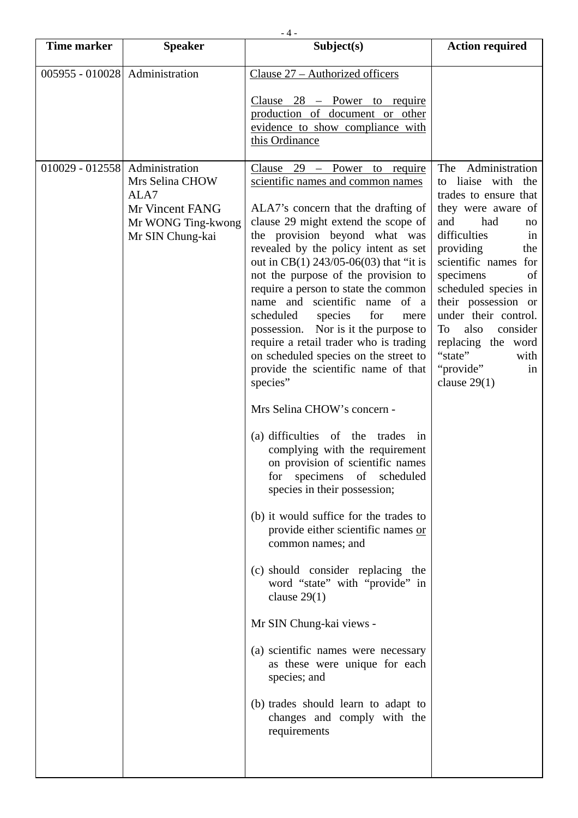| $-4-$                          |                                                                                                        |                                                                                                                                                                                                                                                                                                                                                                                                                                                                                                                                                                                                                                                                                                                                                                                                                                                                                                                                                                                                                                                                                                                                                                                                                                |                                                                                                                                                                                                                                                                                                                                                                                 |  |  |
|--------------------------------|--------------------------------------------------------------------------------------------------------|--------------------------------------------------------------------------------------------------------------------------------------------------------------------------------------------------------------------------------------------------------------------------------------------------------------------------------------------------------------------------------------------------------------------------------------------------------------------------------------------------------------------------------------------------------------------------------------------------------------------------------------------------------------------------------------------------------------------------------------------------------------------------------------------------------------------------------------------------------------------------------------------------------------------------------------------------------------------------------------------------------------------------------------------------------------------------------------------------------------------------------------------------------------------------------------------------------------------------------|---------------------------------------------------------------------------------------------------------------------------------------------------------------------------------------------------------------------------------------------------------------------------------------------------------------------------------------------------------------------------------|--|--|
| Time marker                    | <b>Speaker</b>                                                                                         | Subject(s)                                                                                                                                                                                                                                                                                                                                                                                                                                                                                                                                                                                                                                                                                                                                                                                                                                                                                                                                                                                                                                                                                                                                                                                                                     | <b>Action required</b>                                                                                                                                                                                                                                                                                                                                                          |  |  |
| 005955 - 010028 Administration |                                                                                                        | Clause 27 – Authorized officers<br>Clause $28$ – Power to require<br>production of document or other<br>evidence to show compliance with<br>this Ordinance                                                                                                                                                                                                                                                                                                                                                                                                                                                                                                                                                                                                                                                                                                                                                                                                                                                                                                                                                                                                                                                                     |                                                                                                                                                                                                                                                                                                                                                                                 |  |  |
| $010029 - 012558$              | Administration<br>Mrs Selina CHOW<br>ALA7<br>Mr Vincent FANG<br>Mr WONG Ting-kwong<br>Mr SIN Chung-kai | Clause $29$ – Power to require<br>scientific names and common names<br>ALA7's concern that the drafting of<br>clause 29 might extend the scope of<br>the provision beyond what was<br>revealed by the policy intent as set<br>out in CB(1) $243/05-06(03)$ that "it is<br>not the purpose of the provision to<br>require a person to state the common<br>name and scientific name of a<br>for<br>scheduled<br>species<br>mere<br>possession. Nor is it the purpose to<br>require a retail trader who is trading<br>on scheduled species on the street to<br>provide the scientific name of that<br>species"<br>Mrs Selina CHOW's concern -<br>(a) difficulties of the trades in<br>complying with the requirement<br>on provision of scientific names<br>for specimens of<br>scheduled<br>species in their possession;<br>(b) it would suffice for the trades to<br>provide either scientific names or<br>common names; and<br>(c) should consider replacing the<br>word "state" with "provide" in<br>clause $29(1)$<br>Mr SIN Chung-kai views -<br>(a) scientific names were necessary<br>as these were unique for each<br>species; and<br>(b) trades should learn to adapt to<br>changes and comply with the<br>requirements | The Administration<br>to liaise with the<br>trades to ensure that<br>they were aware of<br>and<br>had<br>no<br>difficulties<br>in<br>providing<br>the<br>scientific names for<br>specimens<br>of<br>scheduled species in<br>their possession or<br>under their control.<br>consider<br>also<br>To<br>replacing the word<br>"state"<br>with<br>"provide"<br>in<br>clause $29(1)$ |  |  |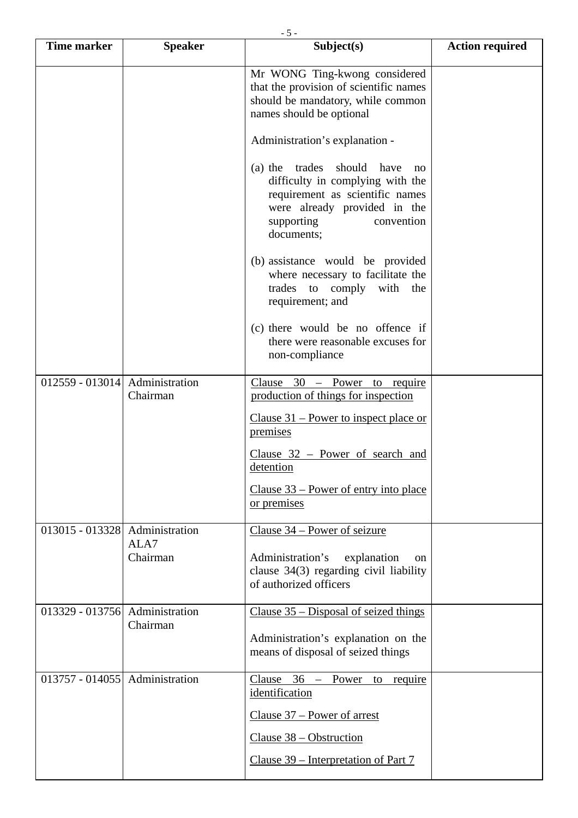|                                  |                            | $-5-$                                                                                                                                                                                        |                        |
|----------------------------------|----------------------------|----------------------------------------------------------------------------------------------------------------------------------------------------------------------------------------------|------------------------|
| <b>Time marker</b>               | <b>Speaker</b>             | Subject(s)                                                                                                                                                                                   | <b>Action required</b> |
|                                  |                            | Mr WONG Ting-kwong considered<br>that the provision of scientific names<br>should be mandatory, while common<br>names should be optional                                                     |                        |
|                                  |                            | Administration's explanation -                                                                                                                                                               |                        |
|                                  |                            | trades<br>should<br>$(a)$ the<br>have<br>no<br>difficulty in complying with the<br>requirement as scientific names<br>were already provided in the<br>supporting<br>convention<br>documents; |                        |
|                                  |                            | (b) assistance would be provided<br>where necessary to facilitate the<br>trades to comply with the<br>requirement; and                                                                       |                        |
|                                  |                            | (c) there would be no offence if<br>there were reasonable excuses for<br>non-compliance                                                                                                      |                        |
| $012559 - 013014$                | Administration<br>Chairman | Clause $30$ – Power to require<br>production of things for inspection                                                                                                                        |                        |
|                                  |                            | Clause $31$ – Power to inspect place or<br>premises                                                                                                                                          |                        |
|                                  |                            | Clause $32$ – Power of search and<br>detention                                                                                                                                               |                        |
|                                  |                            | Clause $33$ – Power of entry into place<br><u>or premises</u>                                                                                                                                |                        |
| 013015 - 013328 Administration   | ALA7<br>Chairman           | Clause 34 – Power of seizure<br>Administration's<br>explanation<br><sub>on</sub><br>clause $34(3)$ regarding civil liability<br>of authorized officers                                       |                        |
|                                  |                            |                                                                                                                                                                                              |                        |
| $013329 - 013756$                | Administration<br>Chairman | Clause $35 - Disposal$ of seized things<br>Administration's explanation on the<br>means of disposal of seized things                                                                         |                        |
| $013757 - 014055$ Administration |                            | Clause $36 -$<br>Power<br>require<br>to<br>identification                                                                                                                                    |                        |
|                                  |                            | Clause $37$ – Power of arrest                                                                                                                                                                |                        |
|                                  |                            | Clause 38 – Obstruction                                                                                                                                                                      |                        |
|                                  |                            | Clause 39 – Interpretation of Part 7                                                                                                                                                         |                        |